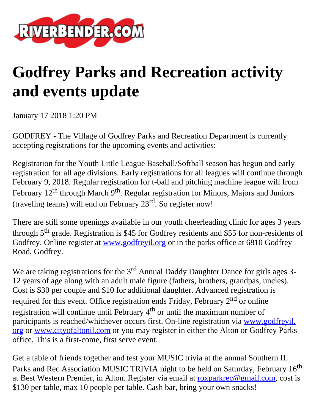

## **Godfrey Parks and Recreation activity and events update**

January 17 2018 1:20 PM

GODFREY - The Village of Godfrey Parks and Recreation Department is currently accepting registrations for the upcoming events and activities:

Registration for the Youth Little League Baseball/Softball season has begun and early registration for all age divisions. Early registrations for all leagues will continue through February 9, 2018. Regular registration for t-ball and pitching machine league will from February  $12^{th}$  through March 9<sup>th</sup>. Regular registration for Minors, Majors and Juniors (traveling teams) will end on February  $23<sup>rd</sup>$ . So register now!

There are still some openings available in our youth cheerleading clinic for ages 3 years through  $5<sup>th</sup>$  grade. Registration is \$45 for Godfrey residents and \$55 for non-residents of Godfrey. Online register at [www.godfreyil.org](http://www.godfreyil.org/) or in the parks office at 6810 Godfrey Road, Godfrey.

We are taking registrations for the  $3<sup>rd</sup>$  Annual Daddy Daughter Dance for girls ages 3-12 years of age along with an adult male figure (fathers, brothers, grandpas, uncles). Cost is \$30 per couple and \$10 for additional daughter. Advanced registration is required for this event. Office registration ends Friday, February  $2<sup>nd</sup>$  or online registration will continue until February  $4<sup>th</sup>$  or until the maximum number of participants is reached/whichever occurs first. On-line registration via [www.godfreyil.](http://www.godfreyil.org/) [org](http://www.godfreyil.org/) or [www.cityofaltonil.com](http://www.cityofaltonil.com/) or you may register in either the Alton or Godfrey Parks office. This is a first-come, first serve event.

Get a table of friends together and test your MUSIC trivia at the annual Southern IL Parks and Rec Association MUSIC TRIVIA night to be held on Saturday, February 16<sup>th</sup> at Best Western Premier, in Alton. Register via email at [roxparkrec@gmail.com,](mailto:roxparkrec@gmail.com) cost is \$130 per table, max 10 people per table. Cash bar, bring your own snacks!